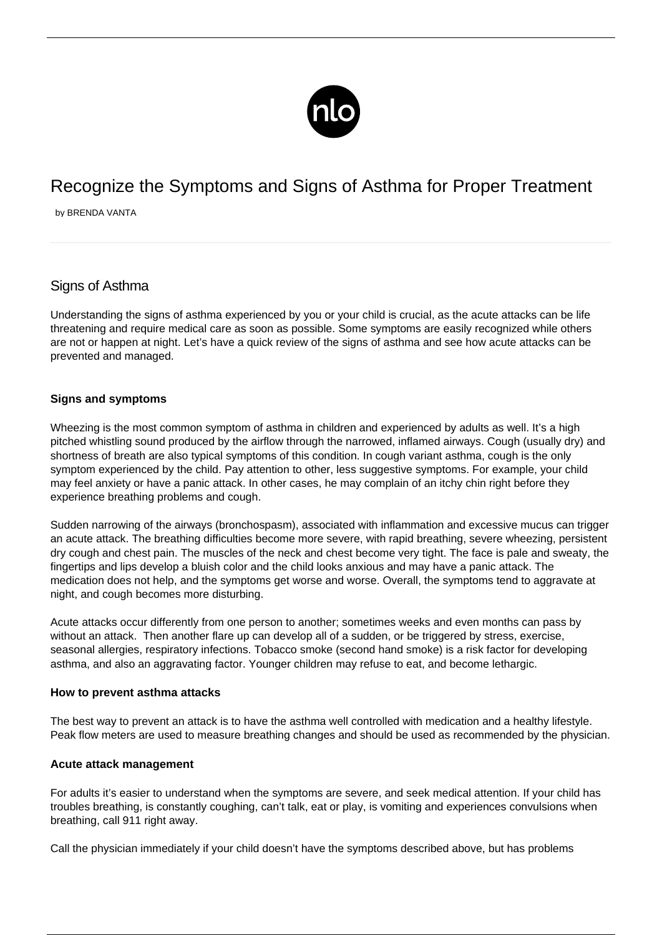

# Recognize the Symptoms and Signs of Asthma for Proper Treatment

by BRENDA VANTA

# Signs of Asthma

Understanding the signs of asthma experienced by you or your child is crucial, as the acute attacks can be life threatening and require medical care as soon as possible. Some symptoms are easily recognized while others are not or happen at night. Let's have a quick review of the signs of asthma and see how acute attacks can be prevented and managed.

## **Signs and symptoms**

Wheezing is the most common symptom of asthma in children and experienced by adults as well. It's a high pitched whistling sound produced by the airflow through the narrowed, inflamed airways. Cough (usually dry) and shortness of breath are also typical symptoms of this condition. In cough variant asthma, cough is the only symptom experienced by the child. Pay attention to other, less suggestive symptoms. For example, your child may feel anxiety or have a panic attack. In other cases, he may complain of an itchy chin right before they experience breathing problems and cough.

Sudden narrowing of the airways (bronchospasm), associated with inflammation and excessive mucus can trigger an acute attack. The breathing difficulties become more severe, with rapid breathing, severe wheezing, persistent dry cough and chest pain. The muscles of the neck and chest become very tight. The face is pale and sweaty, the fingertips and lips develop a bluish color and the child looks anxious and may have a panic attack. The medication does not help, and the symptoms get worse and worse. Overall, the symptoms tend to aggravate at night, and cough becomes more disturbing.

Acute attacks occur differently from one person to another; sometimes weeks and even months can pass by without an attack. Then another flare up can develop all of a sudden, or be triggered by stress, exercise, seasonal allergies, respiratory infections. Tobacco smoke (second hand smoke) is a risk factor for developing asthma, and also an aggravating factor. Younger children may refuse to eat, and become lethargic.

### **How to prevent asthma attacks**

The best way to prevent an attack is to have the asthma well controlled with medication and a healthy lifestyle. Peak flow meters are used to measure breathing changes and should be used as recommended by the physician.

### **Acute attack management**

For adults it's easier to understand when the symptoms are severe, and seek medical attention. If your child has troubles breathing, is constantly coughing, can't talk, eat or play, is vomiting and experiences convulsions when breathing, call 911 right away.

Call the physician immediately if your child doesn't have the symptoms described above, but has problems